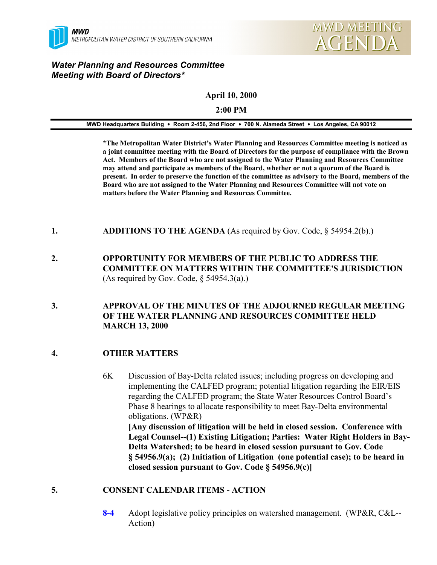



# *Water Planning and Resources Committee Meeting with Board of Directors\**

**April 10, 2000**

#### **2:00 PM**

| MWD Headquarters Building • Room 2-456, 2nd Floor • 700 N. Alameda Street • Los Angeles, CA 90012 |  |  |
|---------------------------------------------------------------------------------------------------|--|--|
|                                                                                                   |  |  |

**\*The Metropolitan Water District's Water Planning and Resources Committee meeting is noticed as a joint committee meeting with the Board of Directors for the purpose of compliance with the Brown Act. Members of the Board who are not assigned to the Water Planning and Resources Committee may attend and participate as members of the Board, whether or not a quorum of the Board is present. In order to preserve the function of the committee as advisory to the Board, members of the Board who are not assigned to the Water Planning and Resources Committee will not vote on matters before the Water Planning and Resources Committee.**

- **1. ADDITIONS TO THE AGENDA** (As required by Gov. Code, § 54954.2(b).)
- **2. OPPORTUNITY FOR MEMBERS OF THE PUBLIC TO ADDRESS THE COMMITTEE ON MATTERS WITHIN THE COMMITTEE'S JURISDICTION** (As required by Gov. Code,  $\S$  54954.3(a).)
- **3. APPROVAL OF THE MINUTES OF THE ADJOURNED REGULAR MEETING OF THE WATER PLANNING AND RESOURCES COMMITTEE HELD MARCH 13, 2000**

# **4. OTHER MATTERS**

6K Discussion of Bay-Delta related issues; including progress on developing and implementing the CALFED program; potential litigation regarding the EIR/EIS regarding the CALFED program; the State Water Resources Control Board's Phase 8 hearings to allocate responsibility to meet Bay-Delta environmental obligations. (WP&R) **[Any discussion of litigation will be held in closed session. Conference with Legal Counsel--(1) Existing Litigation; Parties: Water Right Holders in Bay-Delta Watershed; to be heard in closed session pursuant to Gov. Code § 54956.9(a); (2) Initiation of Litigation (one potential case); to be heard in closed session pursuant to Gov. Code § 54956.9(c)]**

#### **5. CONSENT CALENDAR ITEMS - ACTION**

**8-4** Adopt legislative policy principles on watershed management. (WP&R, C&L-- Action)